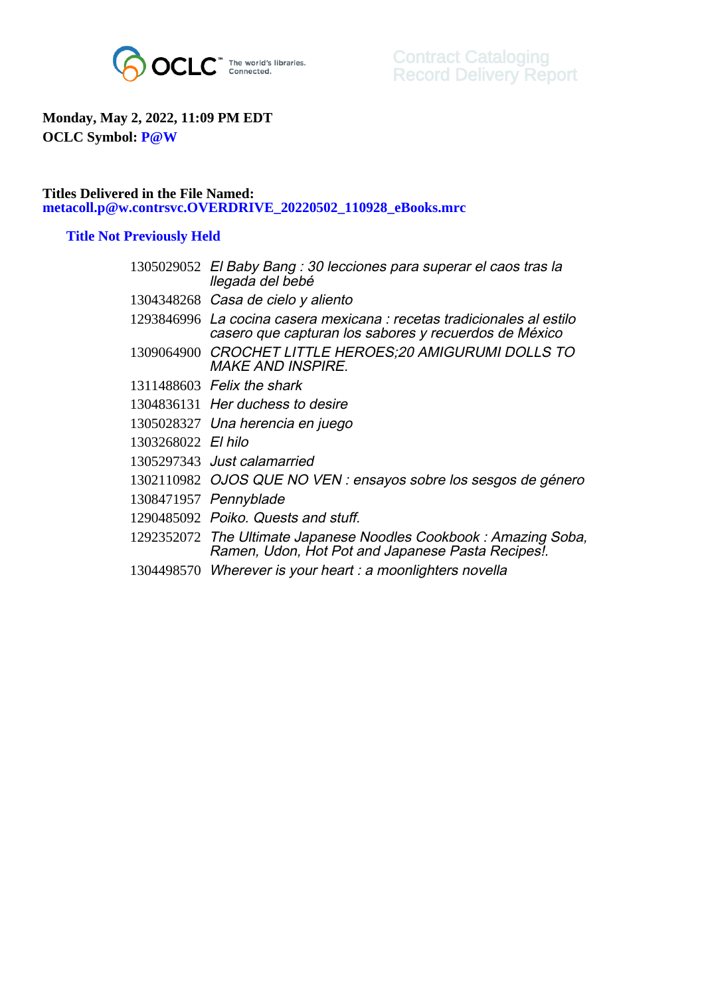

## **Monday, May 2, 2022, 11:09 PM EDT OCLC Symbol: P@W**

## **Titles Delivered in the File Named: metacoll.p@w.contrsvc.OVERDRIVE\_20220502\_110928\_eBooks.mrc**

## **Title Not Previously Held**

|                    | 1305029052 El Baby Bang : 30 lecciones para superar el caos tras la<br>llegada del bebé                                         |
|--------------------|---------------------------------------------------------------------------------------------------------------------------------|
|                    | 1304348268 Casa de cielo y aliento                                                                                              |
|                    | 1293846996 La cocina casera mexicana : recetas tradicionales al estilo<br>casero que capturan los sabores y recuerdos de México |
|                    | 1309064900 CROCHET LITTLE HEROES;20 AMIGURUMI DOLLS TO<br><b>MAKE AND INSPIRE.</b>                                              |
|                    | 1311488603 Felix the shark                                                                                                      |
|                    | 1304836131 Her duchess to desire                                                                                                |
|                    | 1305028327 Una herencia en juego                                                                                                |
| 1303268022 El hilo |                                                                                                                                 |
|                    | 1305297343 Just calamarried                                                                                                     |
|                    | 1302110982 OJOS QUE NO VEN : ensayos sobre los sesgos de género                                                                 |
|                    | 1308471957 Pennyblade                                                                                                           |
|                    | 1290485092 Poiko, Quests and stuff.                                                                                             |
|                    | 1292352072 The Ultimate Japanese Noodles Cookbook: Amazing Soba,<br>Ramen, Udon, Hot Pot and Japanese Pasta Recipes!.           |
|                    | 1304498570 Wherever is your heart : a moonlighters novella                                                                      |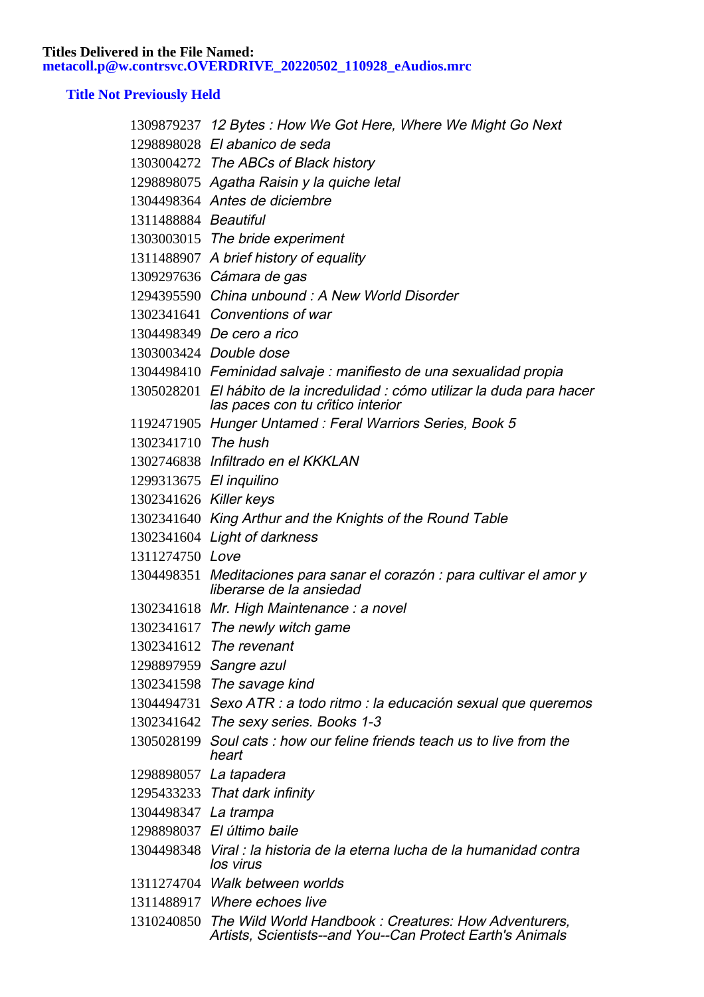**Titles Delivered in the File Named: metacoll.p@w.contrsvc.OVERDRIVE\_20220502\_110928\_eAudios.mrc**

## **Title Not Previously Held**

|                         | 1309879237 12 Bytes: How We Got Here, Where We Might Go Next                                                                 |
|-------------------------|------------------------------------------------------------------------------------------------------------------------------|
|                         | 1298898028 El abanico de seda                                                                                                |
|                         | 1303004272 The ABCs of Black history                                                                                         |
|                         | 1298898075 Agatha Raisin y la quiche letal                                                                                   |
|                         | 1304498364 Antes de diciembre                                                                                                |
| 1311488884 Beautiful    |                                                                                                                              |
|                         | 1303003015 The bride experiment                                                                                              |
|                         | 1311488907 A brief history of equality                                                                                       |
|                         | 1309297636 Cámara de gas                                                                                                     |
|                         | 1294395590 China unbound: A New World Disorder                                                                               |
|                         | 1302341641 Conventions of war                                                                                                |
|                         | 1304498349 De cero a rico                                                                                                    |
|                         | 1303003424 Double dose                                                                                                       |
|                         | 1304498410 Feminidad salvaje : manifiesto de una sexualidad propia                                                           |
|                         | 1305028201 El hábito de la incredulidad : cómo utilizar la duda para hacer<br>las paces con tu critico interior              |
|                         | 1192471905 Hunger Untamed: Feral Warriors Series, Book 5                                                                     |
| 1302341710 The hush     |                                                                                                                              |
|                         | 1302746838 Infiltrado en el KKKLAN                                                                                           |
| 1299313675 El inquilino |                                                                                                                              |
| 1302341626 Killer keys  |                                                                                                                              |
|                         | 1302341640 King Arthur and the Knights of the Round Table                                                                    |
|                         | 1302341604 Light of darkness                                                                                                 |
| 1311274750 Love         |                                                                                                                              |
|                         | 1304498351 Meditaciones para sanar el corazón : para cultivar el amor y<br>liberarse de la ansiedad                          |
|                         | 1302341618 Mr. High Maintenance : a novel                                                                                    |
|                         | 1302341617 The newly witch game                                                                                              |
|                         | 1302341612 The revenant                                                                                                      |
|                         | 1298897959 Sangre azul                                                                                                       |
|                         | 1302341598 The savage kind                                                                                                   |
|                         | 1304494731 Sexo ATR : a todo ritmo : la educación sexual que queremos                                                        |
|                         | 1302341642 The sexy series. Books 1-3                                                                                        |
|                         | 1305028199 Soul cats: how our feline friends teach us to live from the<br>heart                                              |
|                         | 1298898057 La tapadera                                                                                                       |
|                         | 1295433233 That dark infinity                                                                                                |
| 1304498347 La trampa    |                                                                                                                              |
|                         | 1298898037 El último baile                                                                                                   |
|                         | 1304498348 Viral : la historia de la eterna lucha de la humanidad contra<br>los virus                                        |
|                         | 1311274704 Walk between worlds                                                                                               |
|                         | 1311488917 Where echoes live                                                                                                 |
|                         | 1310240850 The Wild World Handbook: Creatures: How Adventurers,<br>Artists, Scientists--and You--Can Protect Earth's Animals |
|                         |                                                                                                                              |